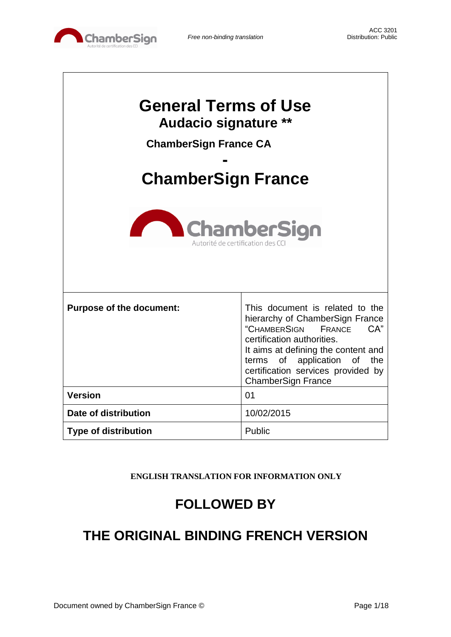

 $\mathbf{I}$ 

 $\overline{\phantom{a}}$ 

| <b>General Terms of Use</b><br><b>Audacio signature **</b><br><b>ChamberSign France CA</b><br><b>ChamberSign France</b><br>ChamberSign<br>Autorité de certification des CC |                                                                                                                                                                                                                                                                                            |  |
|----------------------------------------------------------------------------------------------------------------------------------------------------------------------------|--------------------------------------------------------------------------------------------------------------------------------------------------------------------------------------------------------------------------------------------------------------------------------------------|--|
| <b>Purpose of the document:</b>                                                                                                                                            | This document is related to the<br>hierarchy of ChamberSign France<br>"CHAMBERSIGN FRANCE<br>CA"<br>certification authorities.<br>It aims at defining the content and<br>application<br><b>of</b><br>terms<br>of<br>the<br>certification services provided by<br><b>ChamberSign France</b> |  |
| <b>Version</b>                                                                                                                                                             | 01                                                                                                                                                                                                                                                                                         |  |
| Date of distribution                                                                                                                                                       | 10/02/2015                                                                                                                                                                                                                                                                                 |  |
| <b>Type of distribution</b>                                                                                                                                                | Public                                                                                                                                                                                                                                                                                     |  |

**ENGLISH TRANSLATION FOR INFORMATION ONLY**

# **FOLLOWED BY**

# **THE ORIGINAL BINDING FRENCH VERSION**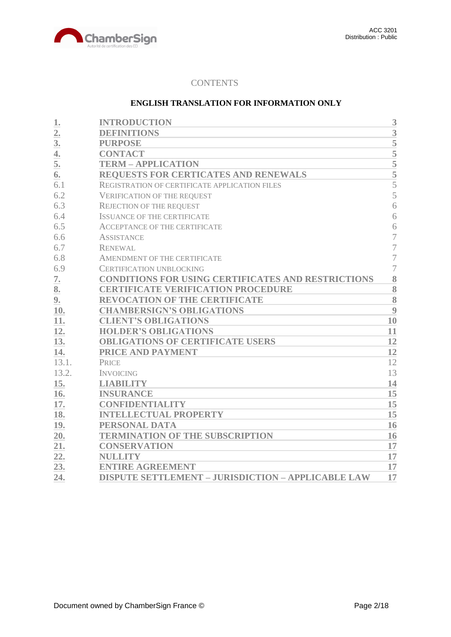

# **CONTENTS**

## **ENGLISH TRANSLATION FOR INFORMATION ONLY**

| 1.               | <b>INTRODUCTION</b>                                       | 3                  |
|------------------|-----------------------------------------------------------|--------------------|
| $\overline{2}$ . | <b>DEFINITIONS</b>                                        | 3                  |
| 3 <sub>l</sub>   | <b>PURPOSE</b>                                            | 5                  |
| 4.               | <b>CONTACT</b>                                            | $\overline{5}$     |
| 5.               | <b>TERM - APPLICATION</b>                                 |                    |
| 6.               | REQUESTS FOR CERTICATES AND RENEWALS                      | $\frac{5}{5}$      |
| 6.1              | REGISTRATION OF CERTIFICATE APPLICATION FILES             | $\overline{5}$     |
| 6.2              | <b>VERIFICATION OF THE REQUEST</b>                        | 5                  |
| 6.3              | <b>REJECTION OF THE REQUEST</b>                           | 6                  |
| 6.4              | <b>ISSUANCE OF THE CERTIFICATE</b>                        | 6                  |
| 6.5              | <b>ACCEPTANCE OF THE CERTIFICATE</b>                      | 6                  |
| 6.6              | <b>ASSISTANCE</b>                                         | 7                  |
| 6.7              | <b>RENEWAL</b>                                            | 7                  |
| 6.8              | AMENDMENT OF THE CERTIFICATE                              | $\overline{7}$     |
| 6.9              | <b>CERTIFICATION UNBLOCKING</b>                           | $\overline{7}$     |
| 7.               | <b>CONDITIONS FOR USING CERTIFICATES AND RESTRICTIONS</b> | 8                  |
| 8.               | <b>CERTIFICATE VERIFICATION PROCEDURE</b>                 | 8                  |
| 9.               | <b>REVOCATION OF THE CERTIFICATE</b>                      | $\overline{\bf 8}$ |
| 10.              | <b>CHAMBERSIGN'S OBLIGATIONS</b>                          | 9                  |
| 11.              | <b>CLIENT'S OBLIGATIONS</b>                               | 10                 |
| 12.              | <b>HOLDER'S OBLIGATIONS</b>                               | 11                 |
| 13.              | <b>OBLIGATIONS OF CERTIFICATE USERS</b>                   | 12                 |
| 14.              | PRICE AND PAYMENT                                         | 12                 |
| 13.1.            | <b>PRICE</b>                                              | 12                 |
| 13.2.            | <b>INVOICING</b>                                          | 13                 |
| 15.              | <b>LIABILITY</b>                                          | 14                 |
| 16.              | <b>INSURANCE</b>                                          | 15                 |
| 17.              | <b>CONFIDENTIALITY</b>                                    | 15                 |
| 18.              | <b>INTELLECTUAL PROPERTY</b>                              | 15                 |
| 19.              | PERSONAL DATA                                             | 16                 |
| 20.              | <b>TERMINATION OF THE SUBSCRIPTION</b>                    | 16                 |
| 21.              | <b>CONSERVATION</b>                                       | 17                 |
| 22.              | <b>NULLITY</b>                                            | 17                 |
| 23.              | <b>ENTIRE AGREEMENT</b>                                   | 17                 |
| 24.              | <b>DISPUTE SETTLEMENT - JURISDICTION - APPLICABLE LAW</b> | 17                 |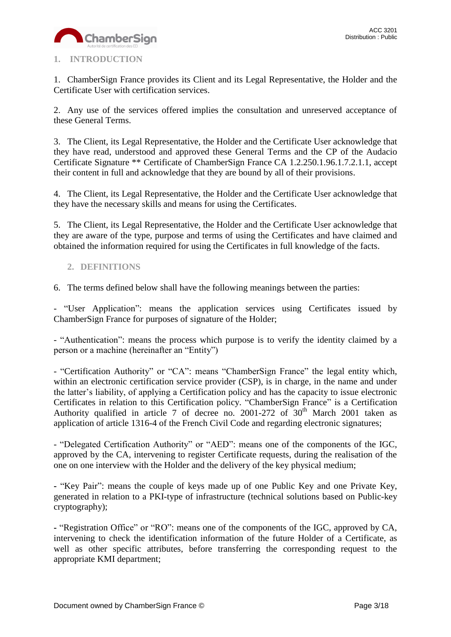

# <span id="page-2-0"></span>**1. INTRODUCTION**

1. ChamberSign France provides its Client and its Legal Representative, the Holder and the Certificate User with certification services.

2. Any use of the services offered implies the consultation and unreserved acceptance of these General Terms.

3. The Client, its Legal Representative, the Holder and the Certificate User acknowledge that they have read, understood and approved these General Terms and the CP of the Audacio Certificate Signature \*\* Certificate of ChamberSign France CA 1.2.250.1.96.1.7.2.1.1, accept their content in full and acknowledge that they are bound by all of their provisions.

4. The Client, its Legal Representative, the Holder and the Certificate User acknowledge that they have the necessary skills and means for using the Certificates.

5. The Client, its Legal Representative, the Holder and the Certificate User acknowledge that they are aware of the type, purpose and terms of using the Certificates and have claimed and obtained the information required for using the Certificates in full knowledge of the facts.

# <span id="page-2-1"></span>**2. DEFINITIONS**

6. The terms defined below shall have the following meanings between the parties:

- "User Application": means the application services using Certificates issued by ChamberSign France for purposes of signature of the Holder;

- "Authentication": means the process which purpose is to verify the identity claimed by a person or a machine (hereinafter an "Entity")

- "Certification Authority" or "CA": means "ChamberSign France" the legal entity which, within an electronic certification service provider (CSP), is in charge, in the name and under the latter's liability, of applying a Certification policy and has the capacity to issue electronic Certificates in relation to this Certification policy. "ChamberSign France" is a Certification Authority qualified in article 7 of decree no. 2001-272 of  $30<sup>th</sup>$  March 2001 taken as application of article 1316-4 of the French Civil Code and regarding electronic signatures;

- "Delegated Certification Authority" or "AED": means one of the components of the IGC, approved by the CA, intervening to register Certificate requests, during the realisation of the one on one interview with the Holder and the delivery of the key physical medium;

**-** "Key Pair": means the couple of keys made up of one Public Key and one Private Key, generated in relation to a PKI-type of infrastructure (technical solutions based on Public-key cryptography);

**-** "Registration Office" or "RO": means one of the components of the IGC, approved by CA, intervening to check the identification information of the future Holder of a Certificate, as well as other specific attributes, before transferring the corresponding request to the appropriate KMI department;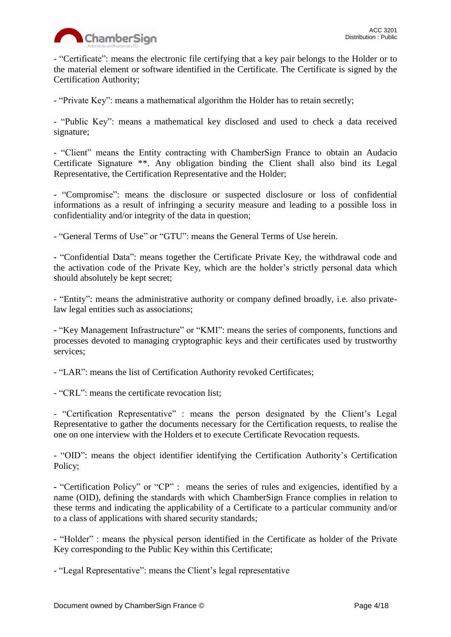

- "Certificate": means the electronic file certifying that a key pair belongs to the Holder or to the material element or software identified in the Certificate. The Certificate is signed by the Certification Authority;

- "Private Key": means a mathematical algorithm the Holder has to retain secretly;

- "Public Key": means a mathematical key disclosed and used to check a data received signature;

- "Client" means the Entity contracting with ChamberSign France to obtain an Audacio Certificate Signature \*\*. Any obligation binding the Client shall also bind its Legal Representative, the Certification Representative and the Holder;

- "Compromise": means the disclosure or suspected disclosure or loss of confidential informations as a result of infringing a security measure and leading to a possible loss in confidentiality and/or integrity of the data in question;

- "General Terms of Use" or "GTU": means the General Terms of Use herein.

**-** "Confidential Data": means together the Certificate Private Key, the withdrawal code and the activation code of the Private Key, which are the holder's strictly personal data which should absolutely be kept secret;

- "Entity": means the administrative authority or company defined broadly, i.e. also privatelaw legal entities such as associations;

- "Key Management Infrastructure" or "KMI": means the series of components, functions and processes devoted to managing cryptographic keys and their certificates used by trustworthy services;

- "LAR": means the list of Certification Authority revoked Certificates;

- "CRL": means the certificate revocation list;

- "Certification Representative" : means the person designated by the Client's Legal Representative to gather the documents necessary for the Certification requests, to realise the one on one interview with the Holders et to execute Certificate Revocation requests.

- "OID": means the object identifier identifying the Certification Authority's Certification Policy;

**-** "Certification Policy" or "CP" : means the series of rules and exigencies, identified by a name (OID), defining the standards with which ChamberSign France complies in relation to these terms and indicating the applicability of a Certificate to a particular community and/or to a class of applications with shared security standards;

- "Holder" : means the physical person identified in the Certificate as holder of the Private Key corresponding to the Public Key within this Certificate;

- "Legal Representative": means the Client's legal representative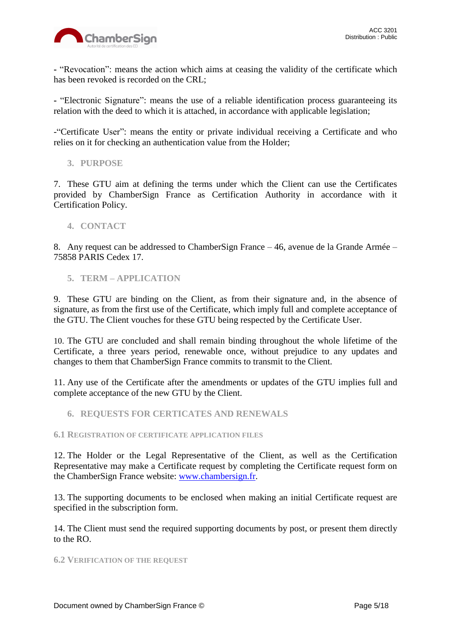

**-** "Revocation": means the action which aims at ceasing the validity of the certificate which has been revoked is recorded on the CRL;

**-** "Electronic Signature": means the use of a reliable identification process guaranteeing its relation with the deed to which it is attached, in accordance with applicable legislation;

-"Certificate User": means the entity or private individual receiving a Certificate and who relies on it for checking an authentication value from the Holder;

<span id="page-4-0"></span>**3. PURPOSE**

7. These GTU aim at defining the terms under which the Client can use the Certificates provided by ChamberSign France as Certification Authority in accordance with it Certification Policy.

## <span id="page-4-1"></span>**4. CONTACT**

8. Any request can be addressed to ChamberSign France – 46, avenue de la Grande Armée – 75858 PARIS Cedex 17.

# <span id="page-4-2"></span>**5. TERM – APPLICATION**

9. These GTU are binding on the Client, as from their signature and, in the absence of signature, as from the first use of the Certificate, which imply full and complete acceptance of the GTU. The Client vouches for these GTU being respected by the Certificate User.

10. The GTU are concluded and shall remain binding throughout the whole lifetime of the Certificate, a three years period, renewable once, without prejudice to any updates and changes to them that ChamberSign France commits to transmit to the Client.

11. Any use of the Certificate after the amendments or updates of the GTU implies full and complete acceptance of the new GTU by the Client.

## <span id="page-4-3"></span>**6. REQUESTS FOR CERTICATES AND RENEWALS**

## <span id="page-4-4"></span>**6.1 REGISTRATION OF CERTIFICATE APPLICATION FILES**

12. The Holder or the Legal Representative of the Client, as well as the Certification Representative may make a Certificate request by completing the Certificate request form on the ChamberSign France website: [www.chambersign.fr.](http://www.chambersign.fr/)

13. The supporting documents to be enclosed when making an initial Certificate request are specified in the subscription form.

14. The Client must send the required supporting documents by post, or present them directly to the RO.

#### <span id="page-4-5"></span>**6.2 VERIFICATION OF THE REQUEST**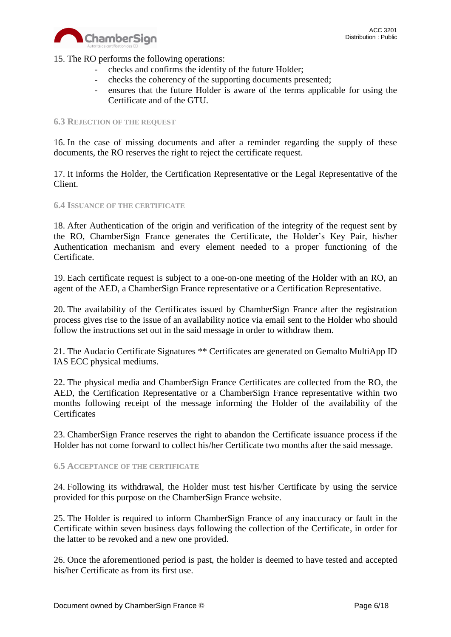

15. The RO performs the following operations:

- checks and confirms the identity of the future Holder;
- checks the coherency of the supporting documents presented;
- ensures that the future Holder is aware of the terms applicable for using the Certificate and of the GTU.

#### <span id="page-5-0"></span>**6.3 REJECTION OF THE REQUEST**

16. In the case of missing documents and after a reminder regarding the supply of these documents, the RO reserves the right to reject the certificate request.

17. It informs the Holder, the Certification Representative or the Legal Representative of the Client.

#### <span id="page-5-1"></span>**6.4 ISSUANCE OF THE CERTIFICATE**

18. After Authentication of the origin and verification of the integrity of the request sent by the RO, ChamberSign France generates the Certificate, the Holder's Key Pair, his/her Authentication mechanism and every element needed to a proper functioning of the Certificate.

19. Each certificate request is subject to a one-on-one meeting of the Holder with an RO, an agent of the AED, a ChamberSign France representative or a Certification Representative.

20. The availability of the Certificates issued by ChamberSign France after the registration process gives rise to the issue of an availability notice via email sent to the Holder who should follow the instructions set out in the said message in order to withdraw them.

21. The Audacio Certificate Signatures \*\* Certificates are generated on Gemalto MultiApp ID IAS ECC physical mediums.

22. The physical media and ChamberSign France Certificates are collected from the RO, the AED, the Certification Representative or a ChamberSign France representative within two months following receipt of the message informing the Holder of the availability of the **Certificates** 

23. ChamberSign France reserves the right to abandon the Certificate issuance process if the Holder has not come forward to collect his/her Certificate two months after the said message.

#### <span id="page-5-2"></span>**6.5 ACCEPTANCE OF THE CERTIFICATE**

24. Following its withdrawal, the Holder must test his/her Certificate by using the service provided for this purpose on the ChamberSign France website.

25. The Holder is required to inform ChamberSign France of any inaccuracy or fault in the Certificate within seven business days following the collection of the Certificate, in order for the latter to be revoked and a new one provided.

26. Once the aforementioned period is past, the holder is deemed to have tested and accepted his/her Certificate as from its first use.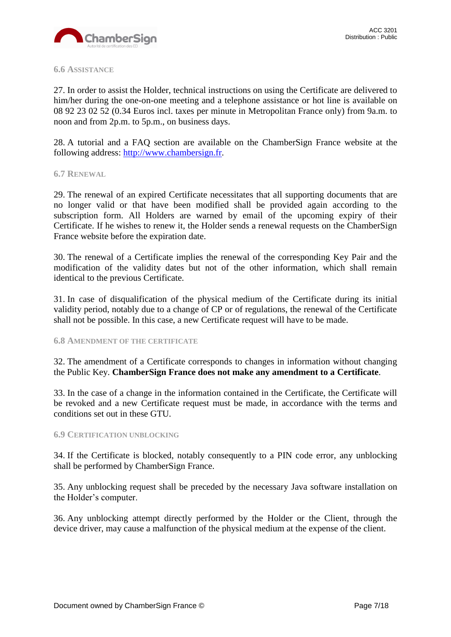

#### <span id="page-6-0"></span>**6.6 ASSISTANCE**

27. In order to assist the Holder, technical instructions on using the Certificate are delivered to him/her during the one-on-one meeting and a telephone assistance or hot line is available on 08 92 23 02 52 (0.34 Euros incl. taxes per minute in Metropolitan France only) from 9a.m. to noon and from 2p.m. to 5p.m., on business days.

28. A tutorial and a FAQ section are available on the ChamberSign France website at the following address: [http://www.chambersign.fr.](http://www.chambersign.fr/)

#### <span id="page-6-1"></span>**6.7 RENEWAL**

29. The renewal of an expired Certificate necessitates that all supporting documents that are no longer valid or that have been modified shall be provided again according to the subscription form. All Holders are warned by email of the upcoming expiry of their Certificate. If he wishes to renew it, the Holder sends a renewal requests on the ChamberSign France website before the expiration date.

30. The renewal of a Certificate implies the renewal of the corresponding Key Pair and the modification of the validity dates but not of the other information, which shall remain identical to the previous Certificate.

31. In case of disqualification of the physical medium of the Certificate during its initial validity period, notably due to a change of CP or of regulations, the renewal of the Certificate shall not be possible. In this case, a new Certificate request will have to be made.

#### <span id="page-6-2"></span>**6.8 AMENDMENT OF THE CERTIFICATE**

32. The amendment of a Certificate corresponds to changes in information without changing the Public Key. **ChamberSign France does not make any amendment to a Certificate**.

33. In the case of a change in the information contained in the Certificate, the Certificate will be revoked and a new Certificate request must be made, in accordance with the terms and conditions set out in these GTU.

#### <span id="page-6-3"></span>**6.9 CERTIFICATION UNBLOCKING**

34. If the Certificate is blocked, notably consequently to a PIN code error, any unblocking shall be performed by ChamberSign France.

35. Any unblocking request shall be preceded by the necessary Java software installation on the Holder's computer.

36. Any unblocking attempt directly performed by the Holder or the Client, through the device driver, may cause a malfunction of the physical medium at the expense of the client.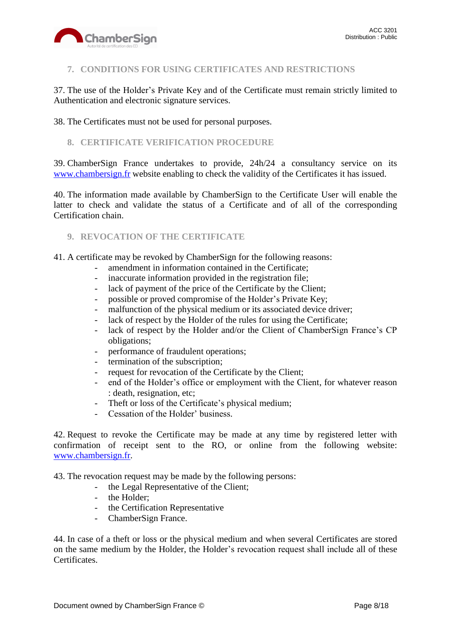

# <span id="page-7-0"></span>**7. CONDITIONS FOR USING CERTIFICATES AND RESTRICTIONS**

37. The use of the Holder's Private Key and of the Certificate must remain strictly limited to Authentication and electronic signature services.

38. The Certificates must not be used for personal purposes.

## <span id="page-7-1"></span>**8. CERTIFICATE VERIFICATION PROCEDURE**

39. ChamberSign France undertakes to provide, 24h/24 a consultancy service on its [www.chambersign.fr](http://www.chambersign.fr/) website enabling to check the validity of the Certificates it has issued.

40. The information made available by ChamberSign to the Certificate User will enable the latter to check and validate the status of a Certificate and of all of the corresponding Certification chain.

### <span id="page-7-2"></span>**9. REVOCATION OF THE CERTIFICATE**

41. A certificate may be revoked by ChamberSign for the following reasons:

- amendment in information contained in the Certificate;
- inaccurate information provided in the registration file;
- lack of payment of the price of the Certificate by the Client;
- possible or proved compromise of the Holder's Private Key;
- malfunction of the physical medium or its associated device driver;
- lack of respect by the Holder of the rules for using the Certificate;
- lack of respect by the Holder and/or the Client of ChamberSign France's CP obligations;
- performance of fraudulent operations;
- termination of the subscription;
- request for revocation of the Certificate by the Client;
- end of the Holder's office or employment with the Client, for whatever reason : death, resignation, etc;
- Theft or loss of the Certificate's physical medium;
- Cessation of the Holder' business.

42. Request to revoke the Certificate may be made at any time by registered letter with confirmation of receipt sent to the RO, or online from the following website: [www.chambersign.fr.](http://www.chambersign.fr/)

43. The revocation request may be made by the following persons:

- the Legal Representative of the Client;
- the Holder;
- the Certification Representative
- ChamberSign France.

44. In case of a theft or loss or the physical medium and when several Certificates are stored on the same medium by the Holder, the Holder's revocation request shall include all of these Certificates.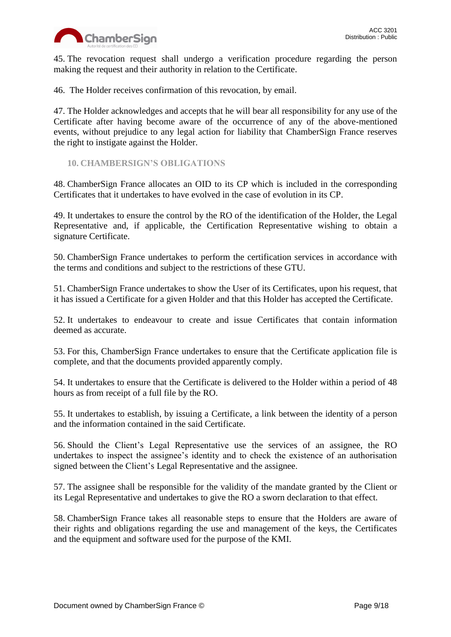

45. The revocation request shall undergo a verification procedure regarding the person making the request and their authority in relation to the Certificate.

46. The Holder receives confirmation of this revocation, by email.

47. The Holder acknowledges and accepts that he will bear all responsibility for any use of the Certificate after having become aware of the occurrence of any of the above-mentioned events, without prejudice to any legal action for liability that ChamberSign France reserves the right to instigate against the Holder.

<span id="page-8-0"></span>**10. CHAMBERSIGN'S OBLIGATIONS**

48. ChamberSign France allocates an OID to its CP which is included in the corresponding Certificates that it undertakes to have evolved in the case of evolution in its CP.

49. It undertakes to ensure the control by the RO of the identification of the Holder, the Legal Representative and, if applicable, the Certification Representative wishing to obtain a signature Certificate.

50. ChamberSign France undertakes to perform the certification services in accordance with the terms and conditions and subject to the restrictions of these GTU.

51. ChamberSign France undertakes to show the User of its Certificates, upon his request, that it has issued a Certificate for a given Holder and that this Holder has accepted the Certificate.

52. It undertakes to endeavour to create and issue Certificates that contain information deemed as accurate.

53. For this, ChamberSign France undertakes to ensure that the Certificate application file is complete, and that the documents provided apparently comply.

54. It undertakes to ensure that the Certificate is delivered to the Holder within a period of 48 hours as from receipt of a full file by the RO.

55. It undertakes to establish, by issuing a Certificate, a link between the identity of a person and the information contained in the said Certificate.

56. Should the Client's Legal Representative use the services of an assignee, the RO undertakes to inspect the assignee's identity and to check the existence of an authorisation signed between the Client's Legal Representative and the assignee.

57. The assignee shall be responsible for the validity of the mandate granted by the Client or its Legal Representative and undertakes to give the RO a sworn declaration to that effect.

58. ChamberSign France takes all reasonable steps to ensure that the Holders are aware of their rights and obligations regarding the use and management of the keys, the Certificates and the equipment and software used for the purpose of the KMI.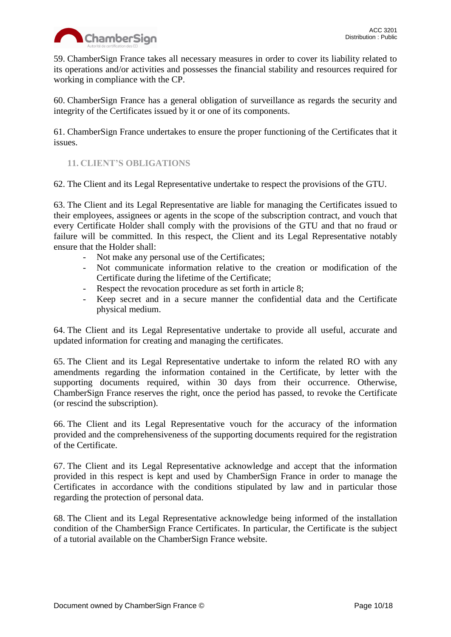

59. ChamberSign France takes all necessary measures in order to cover its liability related to its operations and/or activities and possesses the financial stability and resources required for working in compliance with the CP.

60. ChamberSign France has a general obligation of surveillance as regards the security and integrity of the Certificates issued by it or one of its components.

61. ChamberSign France undertakes to ensure the proper functioning of the Certificates that it issues.

# <span id="page-9-0"></span>**11. CLIENT'S OBLIGATIONS**

62. The Client and its Legal Representative undertake to respect the provisions of the GTU.

63. The Client and its Legal Representative are liable for managing the Certificates issued to their employees, assignees or agents in the scope of the subscription contract, and vouch that every Certificate Holder shall comply with the provisions of the GTU and that no fraud or failure will be committed. In this respect, the Client and its Legal Representative notably ensure that the Holder shall:

- Not make any personal use of the Certificates;
- Not communicate information relative to the creation or modification of the Certificate during the lifetime of the Certificate;
- Respect the revocation procedure as set forth in article 8;
- Keep secret and in a secure manner the confidential data and the Certificate physical medium.

64. The Client and its Legal Representative undertake to provide all useful, accurate and updated information for creating and managing the certificates.

65. The Client and its Legal Representative undertake to inform the related RO with any amendments regarding the information contained in the Certificate, by letter with the supporting documents required, within 30 days from their occurrence. Otherwise, ChamberSign France reserves the right, once the period has passed, to revoke the Certificate (or rescind the subscription).

66. The Client and its Legal Representative vouch for the accuracy of the information provided and the comprehensiveness of the supporting documents required for the registration of the Certificate.

67. The Client and its Legal Representative acknowledge and accept that the information provided in this respect is kept and used by ChamberSign France in order to manage the Certificates in accordance with the conditions stipulated by law and in particular those regarding the protection of personal data.

68. The Client and its Legal Representative acknowledge being informed of the installation condition of the ChamberSign France Certificates. In particular, the Certificate is the subject of a tutorial available on the ChamberSign France website.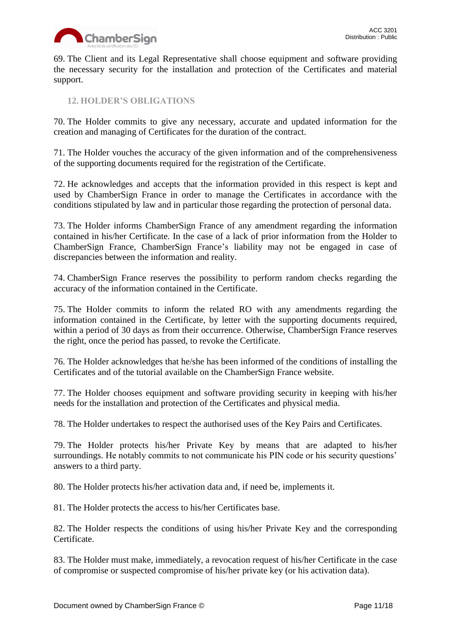

69. The Client and its Legal Representative shall choose equipment and software providing the necessary security for the installation and protection of the Certificates and material support.

<span id="page-10-0"></span>**12. HOLDER'S OBLIGATIONS**

70. The Holder commits to give any necessary, accurate and updated information for the creation and managing of Certificates for the duration of the contract.

71. The Holder vouches the accuracy of the given information and of the comprehensiveness of the supporting documents required for the registration of the Certificate.

72. He acknowledges and accepts that the information provided in this respect is kept and used by ChamberSign France in order to manage the Certificates in accordance with the conditions stipulated by law and in particular those regarding the protection of personal data.

73. The Holder informs ChamberSign France of any amendment regarding the information contained in his/her Certificate. In the case of a lack of prior information from the Holder to ChamberSign France, ChamberSign France's liability may not be engaged in case of discrepancies between the information and reality.

74. ChamberSign France reserves the possibility to perform random checks regarding the accuracy of the information contained in the Certificate.

75. The Holder commits to inform the related RO with any amendments regarding the information contained in the Certificate, by letter with the supporting documents required, within a period of 30 days as from their occurrence. Otherwise, ChamberSign France reserves the right, once the period has passed, to revoke the Certificate.

76. The Holder acknowledges that he/she has been informed of the conditions of installing the Certificates and of the tutorial available on the ChamberSign France website.

77. The Holder chooses equipment and software providing security in keeping with his/her needs for the installation and protection of the Certificates and physical media.

78. The Holder undertakes to respect the authorised uses of the Key Pairs and Certificates.

79. The Holder protects his/her Private Key by means that are adapted to his/her surroundings. He notably commits to not communicate his PIN code or his security questions' answers to a third party.

80. The Holder protects his/her activation data and, if need be, implements it.

81. The Holder protects the access to his/her Certificates base.

82. The Holder respects the conditions of using his/her Private Key and the corresponding Certificate.

83. The Holder must make, immediately, a revocation request of his/her Certificate in the case of compromise or suspected compromise of his/her private key (or his activation data).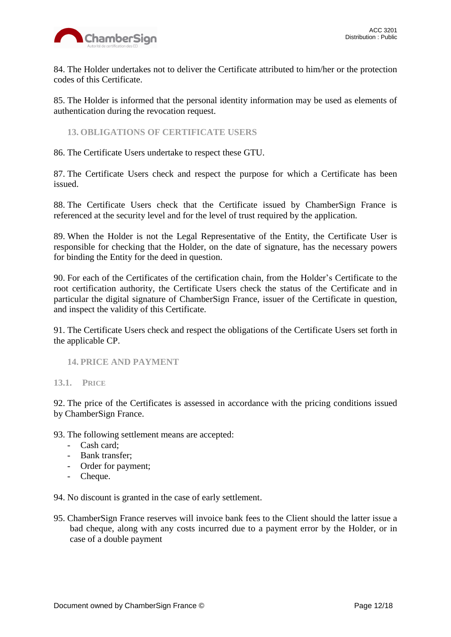

84. The Holder undertakes not to deliver the Certificate attributed to him/her or the protection codes of this Certificate.

85. The Holder is informed that the personal identity information may be used as elements of authentication during the revocation request.

<span id="page-11-0"></span>**13. OBLIGATIONS OF CERTIFICATE USERS**

86. The Certificate Users undertake to respect these GTU.

87. The Certificate Users check and respect the purpose for which a Certificate has been issued.

88. The Certificate Users check that the Certificate issued by ChamberSign France is referenced at the security level and for the level of trust required by the application.

89. When the Holder is not the Legal Representative of the Entity, the Certificate User is responsible for checking that the Holder, on the date of signature, has the necessary powers for binding the Entity for the deed in question.

90. For each of the Certificates of the certification chain, from the Holder's Certificate to the root certification authority, the Certificate Users check the status of the Certificate and in particular the digital signature of ChamberSign France, issuer of the Certificate in question, and inspect the validity of this Certificate.

91. The Certificate Users check and respect the obligations of the Certificate Users set forth in the applicable CP.

#### <span id="page-11-2"></span><span id="page-11-1"></span>**14. PRICE AND PAYMENT**

**13.1. PRICE**

92. The price of the Certificates is assessed in accordance with the pricing conditions issued by ChamberSign France.

93. The following settlement means are accepted:

- Cash card;
- Bank transfer;
- Order for payment;
- Cheque.

94. No discount is granted in the case of early settlement.

95. ChamberSign France reserves will invoice bank fees to the Client should the latter issue a bad cheque, along with any costs incurred due to a payment error by the Holder, or in case of a double payment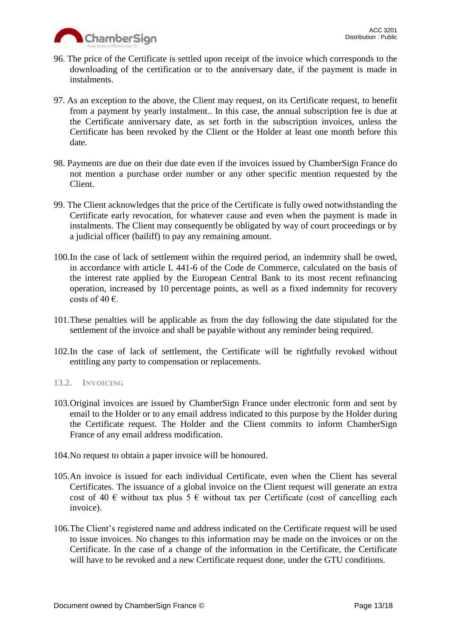

- 96. The price of the Certificate is settled upon receipt of the invoice which corresponds to the downloading of the certification or to the anniversary date, if the payment is made in instalments.
- 97. As an exception to the above, the Client may request, on its Certificate request, to benefit from a payment by yearly instalment.. In this case, the annual subscription fee is due at the Certificate anniversary date, as set forth in the subscription invoices, unless the Certificate has been revoked by the Client or the Holder at least one month before this date.
- 98. Payments are due on their due date even if the invoices issued by ChamberSign France do not mention a purchase order number or any other specific mention requested by the Client.
- 99. The Client acknowledges that the price of the Certificate is fully owed notwithstanding the Certificate early revocation, for whatever cause and even when the payment is made in instalments. The Client may consequently be obligated by way of court proceedings or by a judicial officer (bailiff) to pay any remaining amount.
- 100.In the case of lack of settlement within the required period, an indemnity shall be owed, in accordance with article L 441-6 of the Code de Commerce, calculated on the basis of the interest rate applied by the European Central Bank to its most recent refinancing operation, increased by 10 percentage points, as well as a fixed indemnity for recovery costs of 40  $\epsilon$ .
- 101.These penalties will be applicable as from the day following the date stipulated for the settlement of the invoice and shall be payable without any reminder being required.
- 102.In the case of lack of settlement, the Certificate will be rightfully revoked without entitling any party to compensation or replacements.

## <span id="page-12-0"></span>**13.2. INVOICING**

- 103.Original invoices are issued by ChamberSign France under electronic form and sent by email to the Holder or to any email address indicated to this purpose by the Holder during the Certificate request. The Holder and the Client commits to inform ChamberSign France of any email address modification.
- 104.No request to obtain a paper invoice will be honoured.
- 105.An invoice is issued for each individual Certificate, even when the Client has several Certificates. The issuance of a global invoice on the Client request will generate an extra cost of 40  $\epsilon$  without tax plus 5  $\epsilon$  without tax per Certificate (cost of cancelling each invoice).
- 106.The Client's registered name and address indicated on the Certificate request will be used to issue invoices. No changes to this information may be made on the invoices or on the Certificate. In the case of a change of the information in the Certificate, the Certificate will have to be revoked and a new Certificate request done, under the GTU conditions.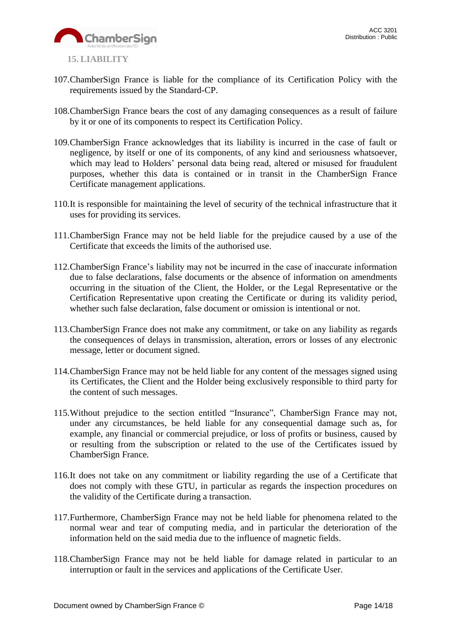

- <span id="page-13-0"></span>107.ChamberSign France is liable for the compliance of its Certification Policy with the requirements issued by the Standard-CP.
- 108.ChamberSign France bears the cost of any damaging consequences as a result of failure by it or one of its components to respect its Certification Policy.
- 109.ChamberSign France acknowledges that its liability is incurred in the case of fault or negligence, by itself or one of its components, of any kind and seriousness whatsoever, which may lead to Holders' personal data being read, altered or misused for fraudulent purposes, whether this data is contained or in transit in the ChamberSign France Certificate management applications.
- 110.It is responsible for maintaining the level of security of the technical infrastructure that it uses for providing its services.
- 111.ChamberSign France may not be held liable for the prejudice caused by a use of the Certificate that exceeds the limits of the authorised use.
- 112.ChamberSign France's liability may not be incurred in the case of inaccurate information due to false declarations, false documents or the absence of information on amendments occurring in the situation of the Client, the Holder, or the Legal Representative or the Certification Representative upon creating the Certificate or during its validity period, whether such false declaration, false document or omission is intentional or not.
- 113.ChamberSign France does not make any commitment, or take on any liability as regards the consequences of delays in transmission, alteration, errors or losses of any electronic message, letter or document signed.
- 114.ChamberSign France may not be held liable for any content of the messages signed using its Certificates, the Client and the Holder being exclusively responsible to third party for the content of such messages.
- 115.Without prejudice to the section entitled "Insurance", ChamberSign France may not, under any circumstances, be held liable for any consequential damage such as, for example, any financial or commercial prejudice, or loss of profits or business, caused by or resulting from the subscription or related to the use of the Certificates issued by ChamberSign France.
- 116.It does not take on any commitment or liability regarding the use of a Certificate that does not comply with these GTU, in particular as regards the inspection procedures on the validity of the Certificate during a transaction.
- 117.Furthermore, ChamberSign France may not be held liable for phenomena related to the normal wear and tear of computing media, and in particular the deterioration of the information held on the said media due to the influence of magnetic fields.
- 118.ChamberSign France may not be held liable for damage related in particular to an interruption or fault in the services and applications of the Certificate User.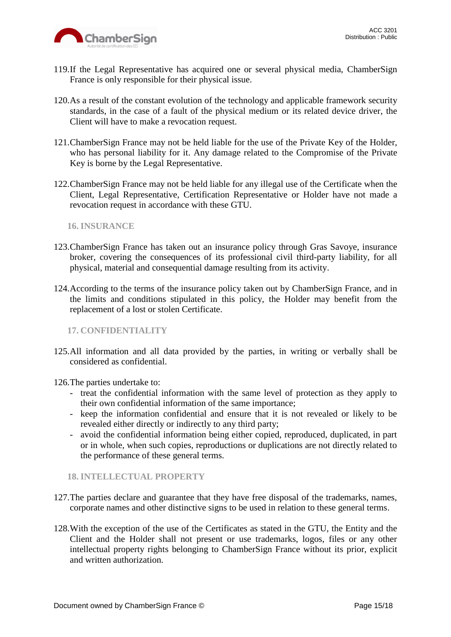

- 119.If the Legal Representative has acquired one or several physical media, ChamberSign France is only responsible for their physical issue.
- 120.As a result of the constant evolution of the technology and applicable framework security standards, in the case of a fault of the physical medium or its related device driver, the Client will have to make a revocation request.
- 121.ChamberSign France may not be held liable for the use of the Private Key of the Holder, who has personal liability for it. Any damage related to the Compromise of the Private Key is borne by the Legal Representative.
- 122.ChamberSign France may not be held liable for any illegal use of the Certificate when the Client, Legal Representative, Certification Representative or Holder have not made a revocation request in accordance with these GTU.

<span id="page-14-0"></span>**16. INSURANCE**

- 123.ChamberSign France has taken out an insurance policy through Gras Savoye, insurance broker, covering the consequences of its professional civil third-party liability, for all physical, material and consequential damage resulting from its activity.
- 124.According to the terms of the insurance policy taken out by ChamberSign France, and in the limits and conditions stipulated in this policy, the Holder may benefit from the replacement of a lost or stolen Certificate.

<span id="page-14-1"></span>**17. CONFIDENTIALITY**

125.All information and all data provided by the parties, in writing or verbally shall be considered as confidential.

126.The parties undertake to:

- treat the confidential information with the same level of protection as they apply to their own confidential information of the same importance;
- keep the information confidential and ensure that it is not revealed or likely to be revealed either directly or indirectly to any third party;
- avoid the confidential information being either copied, reproduced, duplicated, in part or in whole, when such copies, reproductions or duplications are not directly related to the performance of these general terms.

<span id="page-14-2"></span>**18. INTELLECTUAL PROPERTY**

- 127.The parties declare and guarantee that they have free disposal of the trademarks, names, corporate names and other distinctive signs to be used in relation to these general terms.
- 128.With the exception of the use of the Certificates as stated in the GTU, the Entity and the Client and the Holder shall not present or use trademarks, logos, files or any other intellectual property rights belonging to ChamberSign France without its prior, explicit and written authorization.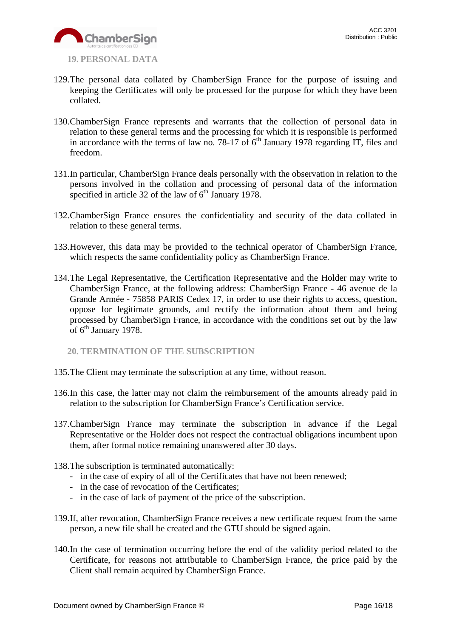

- <span id="page-15-0"></span>**19. PERSONAL DATA**
- 129.The personal data collated by ChamberSign France for the purpose of issuing and keeping the Certificates will only be processed for the purpose for which they have been collated.
- 130.ChamberSign France represents and warrants that the collection of personal data in relation to these general terms and the processing for which it is responsible is performed in accordance with the terms of law no. 78-17 of  $6<sup>th</sup>$  January 1978 regarding IT, files and freedom.
- 131.In particular, ChamberSign France deals personally with the observation in relation to the persons involved in the collation and processing of personal data of the information specified in article 32 of the law of  $6<sup>th</sup>$  January 1978.
- 132.ChamberSign France ensures the confidentiality and security of the data collated in relation to these general terms.
- 133.However, this data may be provided to the technical operator of ChamberSign France, which respects the same confidentiality policy as ChamberSign France.
- 134.The Legal Representative, the Certification Representative and the Holder may write to ChamberSign France, at the following address: ChamberSign France - 46 avenue de la Grande Armée - 75858 PARIS Cedex 17, in order to use their rights to access, question, oppose for legitimate grounds, and rectify the information about them and being processed by ChamberSign France, in accordance with the conditions set out by the law of 6<sup>th</sup> January 1978.

<span id="page-15-1"></span>**20. TERMINATION OF THE SUBSCRIPTION**

- 135.The Client may terminate the subscription at any time, without reason.
- 136.In this case, the latter may not claim the reimbursement of the amounts already paid in relation to the subscription for ChamberSign France's Certification service.
- 137.ChamberSign France may terminate the subscription in advance if the Legal Representative or the Holder does not respect the contractual obligations incumbent upon them, after formal notice remaining unanswered after 30 days.
- 138.The subscription is terminated automatically:
	- in the case of expiry of all of the Certificates that have not been renewed;
	- in the case of revocation of the Certificates;
	- in the case of lack of payment of the price of the subscription.
- 139.If, after revocation, ChamberSign France receives a new certificate request from the same person, a new file shall be created and the GTU should be signed again.
- 140.In the case of termination occurring before the end of the validity period related to the Certificate, for reasons not attributable to ChamberSign France, the price paid by the Client shall remain acquired by ChamberSign France.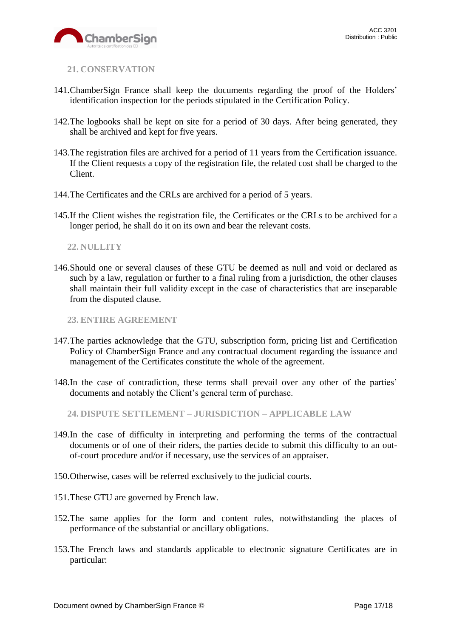

<span id="page-16-0"></span>**21. CONSERVATION**

- 141.ChamberSign France shall keep the documents regarding the proof of the Holders' identification inspection for the periods stipulated in the Certification Policy.
- 142.The logbooks shall be kept on site for a period of 30 days. After being generated, they shall be archived and kept for five years.
- 143.The registration files are archived for a period of 11 years from the Certification issuance. If the Client requests a copy of the registration file, the related cost shall be charged to the Client.
- 144.The Certificates and the CRLs are archived for a period of 5 years.
- 145.If the Client wishes the registration file, the Certificates or the CRLs to be archived for a longer period, he shall do it on its own and bear the relevant costs.

### <span id="page-16-1"></span>**22. NULLITY**

146.Should one or several clauses of these GTU be deemed as null and void or declared as such by a law, regulation or further to a final ruling from a jurisdiction, the other clauses shall maintain their full validity except in the case of characteristics that are inseparable from the disputed clause.

<span id="page-16-2"></span>**23. ENTIRE AGREEMENT**

- 147.The parties acknowledge that the GTU, subscription form, pricing list and Certification Policy of ChamberSign France and any contractual document regarding the issuance and management of the Certificates constitute the whole of the agreement.
- 148.In the case of contradiction, these terms shall prevail over any other of the parties' documents and notably the Client's general term of purchase.

<span id="page-16-3"></span>**24. DISPUTE SETTLEMENT – JURISDICTION – APPLICABLE LAW**

- 149.In the case of difficulty in interpreting and performing the terms of the contractual documents or of one of their riders, the parties decide to submit this difficulty to an outof-court procedure and/or if necessary, use the services of an appraiser.
- 150.Otherwise, cases will be referred exclusively to the judicial courts.
- 151.These GTU are governed by French law.
- 152.The same applies for the form and content rules, notwithstanding the places of performance of the substantial or ancillary obligations.
- 153.The French laws and standards applicable to electronic signature Certificates are in particular: